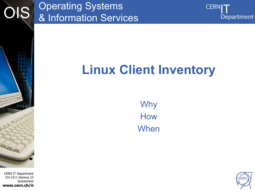

#### CERN IT Department CH-1211 Geneva 23 Switzerland **www.cern.ch/it**

#### Operating Systems & Information Services



# **Linux Client Inventory**

Why How When

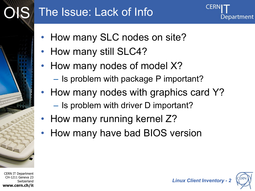# The Issue: Lack of Info

- How many SLC nodes on site?
- How many still SLC4?
- How many nodes of model X?
	- Is problem with package P important?
- How many nodes with graphics card Y?
	- Is problem with driver D important?
- How many running kernel Z?
- How many have bad BIOS version



OIS



Department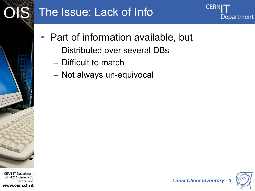

### OIS The Issue: Lack of Info



- Part of information available, but
	- Distributed over several DBs
	- Difficult to match
	- Not always un-equivocal

CERN IT Department CH-1211 Geneva 23 Switzerland **www.cern.ch/it**



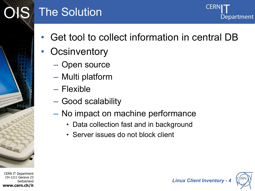# **IS** The Solution



- Get tool to collect information in central DB
- **Ocsinventory** 
	- Open source
	- Multi platform
	- Flexible
	- Good scalability
	- No impact on machine performance
		- Data collection fast and in background
		- Server issues do not block client



*Linux Client Inventory - 4*

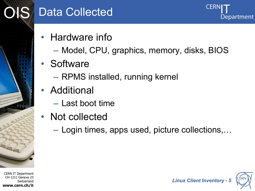

## **S** Data Collected

Department

- Hardware info
	- Model, CPU, graphics, memory, disks, BIOS
- Software
	- RPMS installed, running kernel
- Additional
	- Last boot time
- Not collected
	- Login times, apps used, picture collections,…





*Linux Client Inventory - 5*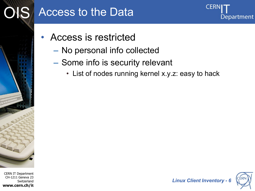

#### **IS** Access to the Data



- Access is restricted
	- No personal info collected
	- Some info is security relevant
		- List of nodes running kernel x.y.z: easy to hack



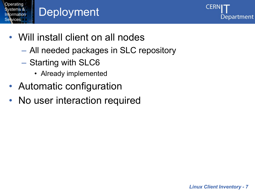

# **Deployment**



- Will install client on all nodes
	- All needed packages in SLC repository
	- Starting with SLC6
		- Already implemented
- Automatic configuration
- No user interaction required